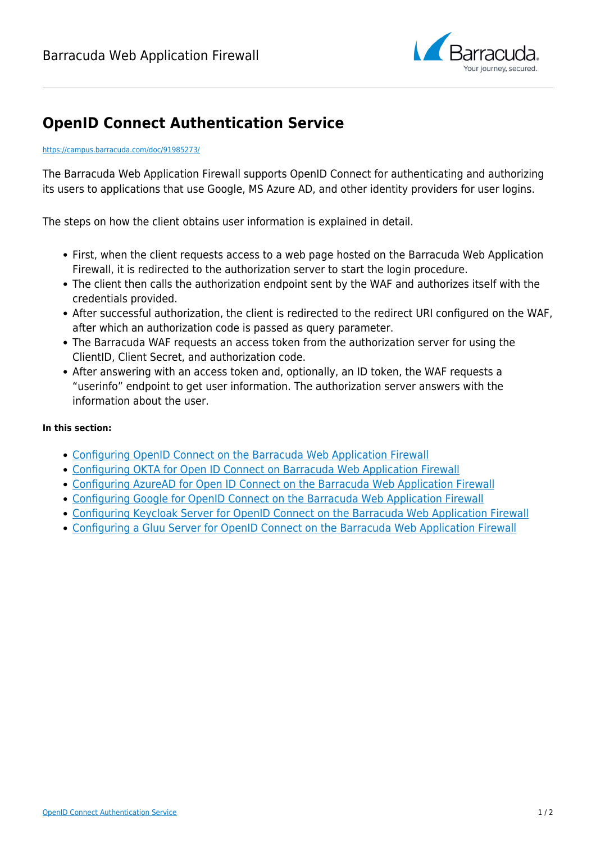

## **OpenID Connect Authentication Service**

## <https://campus.barracuda.com/doc/91985273/>

The Barracuda Web Application Firewall supports OpenID Connect for authenticating and authorizing its users to applications that use Google, MS Azure AD, and other identity providers for user logins.

The steps on how the client obtains user information is explained in detail.

- First, when the client requests access to a web page hosted on the Barracuda Web Application Firewall, it is redirected to the authorization server to start the login procedure.
- The client then calls the authorization endpoint sent by the WAF and authorizes itself with the credentials provided.
- After successful authorization, the client is redirected to the redirect URI configured on the WAF, after which an authorization code is passed as query parameter.
- The Barracuda WAF requests an access token from the authorization server for using the ClientID, Client Secret, and authorization code.
- After answering with an access token and, optionally, an ID token, the WAF requests a "userinfo" endpoint to get user information. The authorization server answers with the information about the user.

## **In this section:**

- [Configuring OpenID Connect on the Barracuda Web Application Firewall](http://campus.barracuda.com/doc/92767152/)
- [Configuring OKTA for Open ID Connect on Barracuda Web Application Firewall](http://campus.barracuda.com/doc/92767218/)
- [Configuring AzureAD for Open ID Connect on the Barracuda Web Application Firewall](http://campus.barracuda.com/doc/92767250/)
- [Configuring Google for OpenID Connect on the Barracuda Web Application Firewall](http://campus.barracuda.com/doc/92767333/)
- [Configuring Keycloak Server for OpenID Connect on the Barracuda Web Application Firewall](http://campus.barracuda.com/doc/92767386/)
- [Configuring a Gluu Server for OpenID Connect on the Barracuda Web Application Firewall](http://campus.barracuda.com/doc/92767456/)